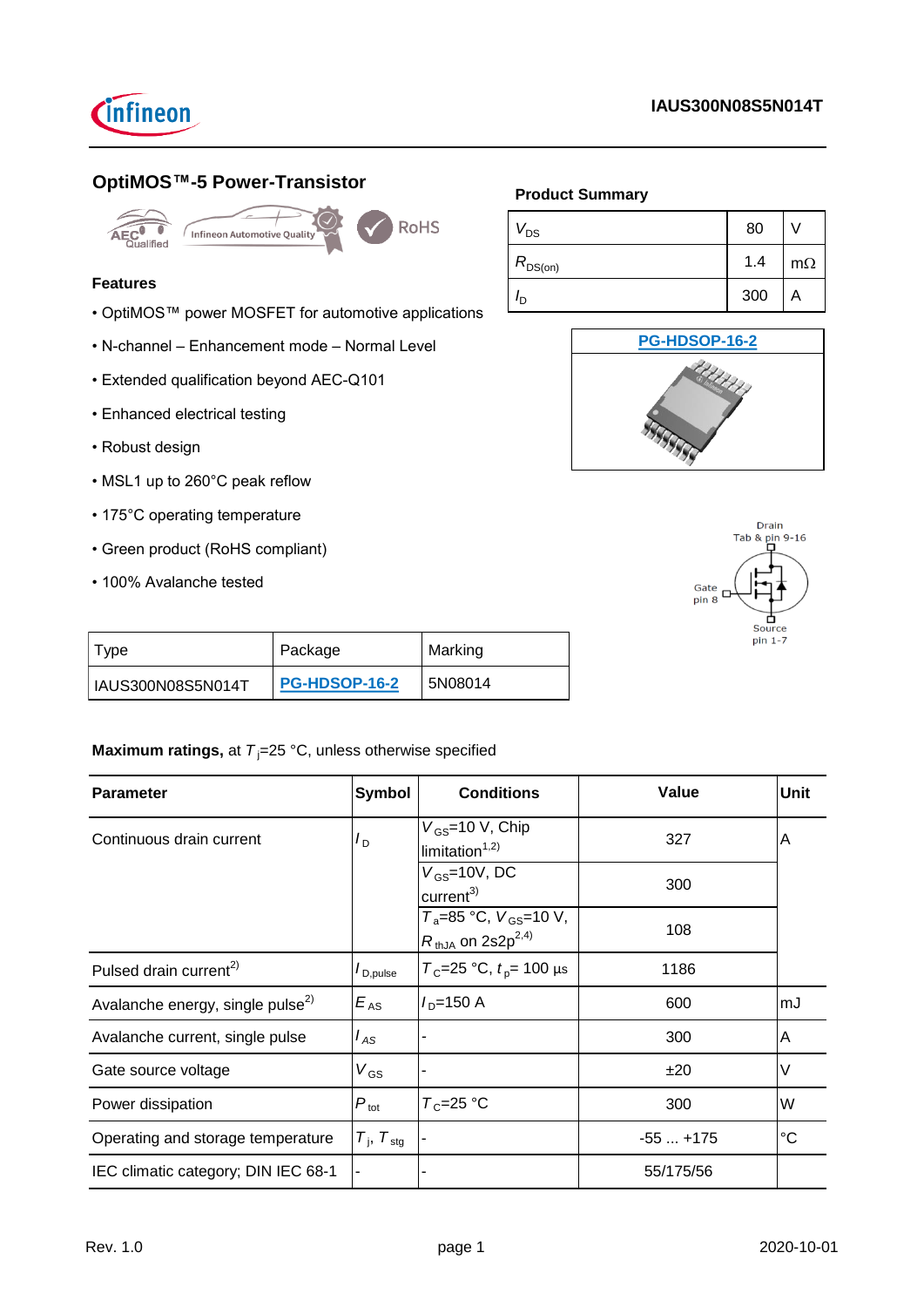

# **OptiMOS™-5 Power-Transistor**



**RoHS** redision<br>Infineon Automotive Quality

## **Features**

- OptiMOS™ power MOSFET for automotive applications
- N-channel Enhancement mode Normal Level
- Extended qualification beyond AEC-Q101
- Enhanced electrical testing
- Robust design
- MSL1 up to 260°C peak reflow
- 175°C operating temperature
- Green product (RoHS compliant)
- 100% Avalanche tested

# **Product Summary**

| $V_{DS}$     | 80  |           |
|--------------|-----|-----------|
| $R_{DS(on)}$ | 1.4 | $m\Omega$ |
| חי           | 300 | Α         |





| I ype             | Package              | Marking |  |
|-------------------|----------------------|---------|--|
| IAUS300N08S5N014T | <b>PG-HDSOP-16-2</b> | 5N08014 |  |

# **Maximum ratings, at**  $T_i = 25 \text{ °C}$ **, unless otherwise specified**

| <b>Parameter</b>                             | <b>Symbol</b>                   | <b>Conditions</b>                                                     | Value     | Unit        |
|----------------------------------------------|---------------------------------|-----------------------------------------------------------------------|-----------|-------------|
| Continuous drain current                     | $I_{\mathsf{D}}$                | $V_{GS}$ =10 V, Chip<br>$\text{limitation}^{1,2}$                     | 327       | Α           |
|                                              |                                 | $V_{GS}$ =10V, DC<br>current <sup>3</sup>                             | 300       |             |
|                                              |                                 | $T_a = 85$ °C, $V_{GS} = 10$ V,<br>$R_{thJA}$ on 2s2p <sup>2,4)</sup> | 108       |             |
| Pulsed drain current <sup>2)</sup>           | $I_{\mathsf{D},\mathsf{pulse}}$ | $T_c$ =25 °C, $t_p$ = 100 µs                                          | 1186      |             |
| Avalanche energy, single pulse <sup>2)</sup> | $E_{AS}$                        | $I_{\rm D}$ =150 A                                                    | 600       | mJ          |
| Avalanche current, single pulse              | $I_{AS}$                        |                                                                       | 300       | A           |
| Gate source voltage                          | $V_{GS}$                        |                                                                       | ±20       | V           |
| Power dissipation                            | $P_{\text{tot}}$                | $T_c = 25$ °C                                                         | 300       | W           |
| Operating and storage temperature            | $T_{\rm i}$ , $T_{\rm stg}$     |                                                                       | $-55+175$ | $^{\circ}C$ |
| IEC climatic category; DIN IEC 68-1          |                                 |                                                                       | 55/175/56 |             |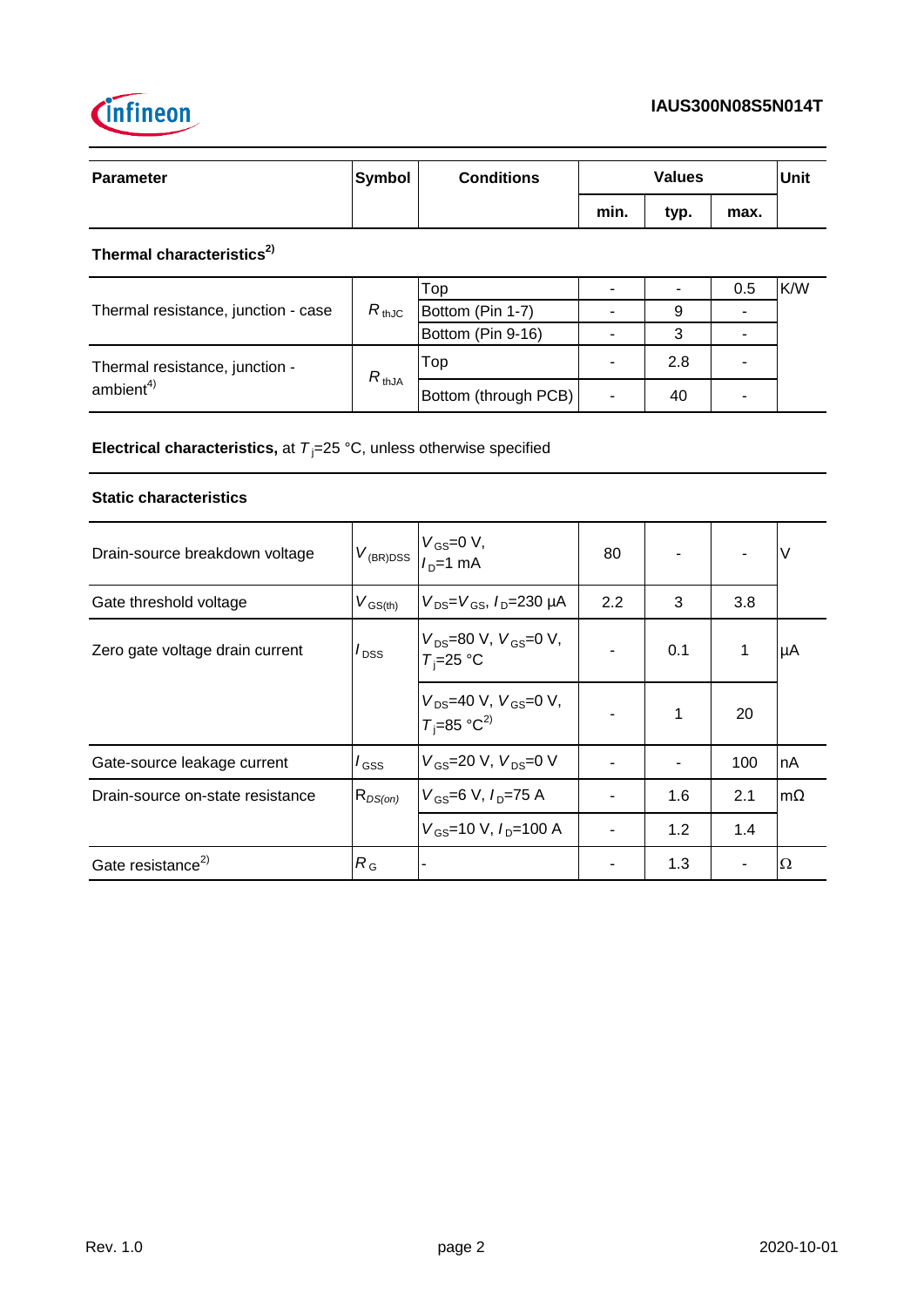

| <b>Parameter</b> | Symbol | <b>Conditions</b> | <b>Values</b> |      |      |  | Unit |
|------------------|--------|-------------------|---------------|------|------|--|------|
|                  |        |                   | min.          | typ. | max. |  |      |

# **Thermal characteristics2)**

|                                     |            | Top                  |     | 0.5 | K/W |
|-------------------------------------|------------|----------------------|-----|-----|-----|
| Thermal resistance, junction - case | $R_{thJC}$ | Bottom (Pin 1-7)     | 9   |     |     |
|                                     |            | Bottom (Pin 9-16)    |     |     |     |
| Thermal resistance, junction -      | $R_{thJA}$ | Top                  | 2.8 | -   |     |
| ambient <sup>4</sup>                |            | Bottom (through PCB) | 40  |     |     |

**Electrical characteristics,** at  $T_j = 25 \degree C$ , unless otherwise specified

## **Static characteristics**

| Drain-source breakdown voltage   | $V_{(BR)DSS}$       | $V_{GS} = 0 V,$<br>$I_{D} = 1 mA$                            | 80  |     |     | ν         |
|----------------------------------|---------------------|--------------------------------------------------------------|-----|-----|-----|-----------|
| Gate threshold voltage           | $V_{\text{GS(th)}}$ | $V_{DS} = V_{GS}$ , $I_{D} = 230 \mu A$                      | 2.2 | 3   | 3.8 |           |
| Zero gate voltage drain current  | $I_{\text{DSS}}$    | $V_{DS}$ =80 V, $V_{GS}$ =0 V,<br>$T_i = 25$ °C              |     | 0.1 |     | μA        |
|                                  |                     | $V_{DS}$ =40 V, $V_{GS}$ =0 V,<br>$T_i$ =85 °C <sup>2)</sup> |     | 1   | 20  |           |
| Gate-source leakage current      | $I_{\text{GSS}}$    | $V_{GS}$ =20 V, $V_{DS}$ =0 V                                |     |     | 100 | nA        |
| Drain-source on-state resistance | $R_{DS(on)}$        | $V_{GS}$ =6 V, $I_{D}$ =75 A                                 |     | 1.6 | 2.1 | $m\Omega$ |
|                                  |                     | $V_{\text{GS}}$ =10 V, $I_{\text{D}}$ =100 A                 |     | 1.2 | 1.4 |           |
| Gate resistance <sup>2)</sup>    | $R_{\rm G}$         |                                                              |     | 1.3 |     | Ω         |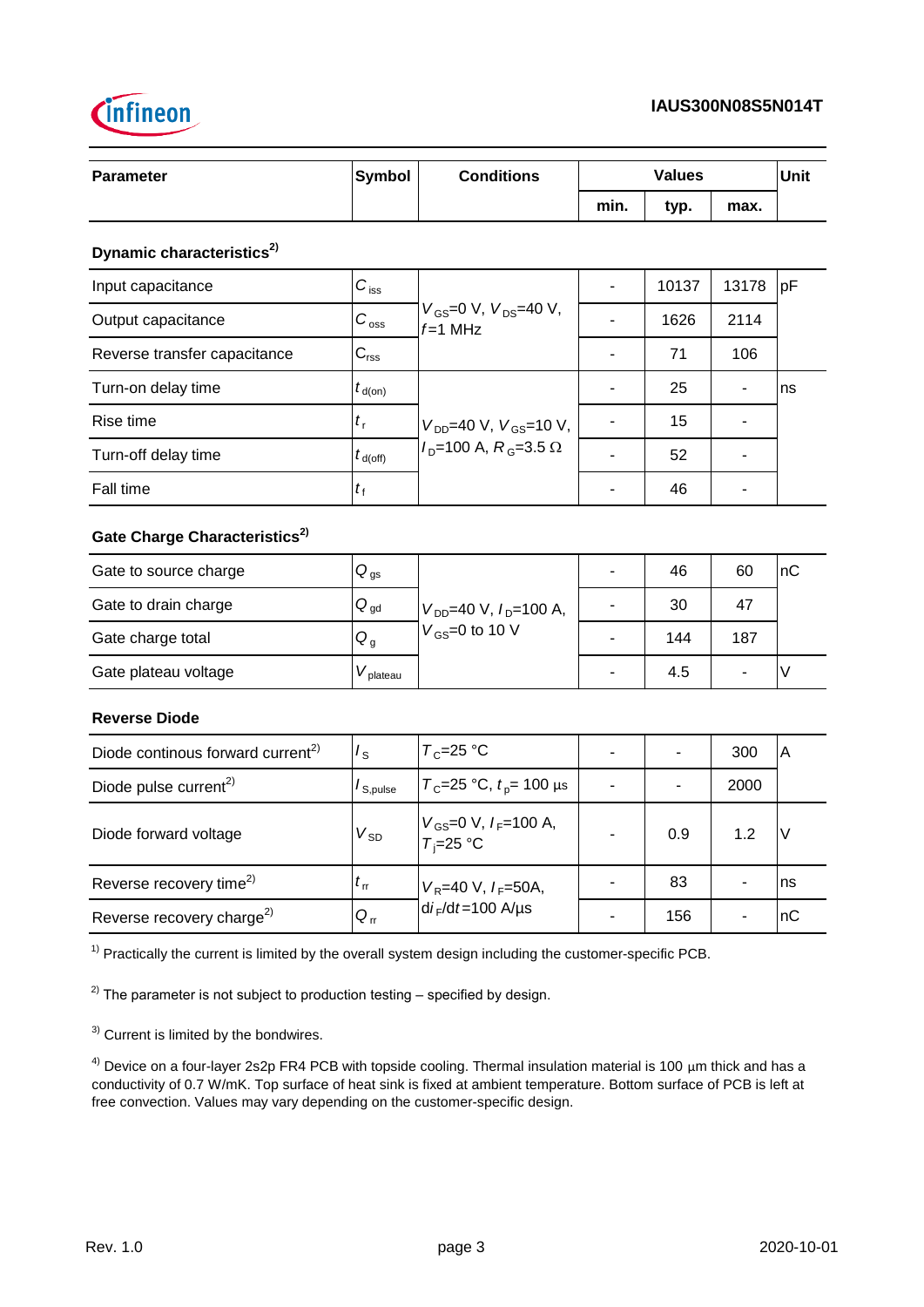



| Parameter                                     | <b>Symbol</b>              | <b>Conditions</b>                             |                          | <b>Values</b>  |                          | Unit |
|-----------------------------------------------|----------------------------|-----------------------------------------------|--------------------------|----------------|--------------------------|------|
|                                               |                            |                                               | min.                     | typ.           | max.                     |      |
| Dynamic characteristics <sup>2)</sup>         |                            |                                               |                          |                |                          |      |
| Input capacitance                             | $C_{\rm iss}$              |                                               | $\overline{a}$           | 10137          | 13178                    | pF   |
| Output capacitance                            | $C_{\rm{oss}}$             | $V_{GS}$ =0 V, $V_{DS}$ =40 V,<br>$f=1$ MHz   |                          | 1626           | 2114                     |      |
| Reverse transfer capacitance                  | $C_{\rm rss}$              |                                               | $\overline{\phantom{0}}$ | 71             | 106                      |      |
| Turn-on delay time                            | $t_{\sf d(on)}$            |                                               | $\overline{\phantom{0}}$ | 25             | $\overline{\phantom{0}}$ | ns   |
| Rise time                                     | $t_{\rm r}$                | $V_{DD}$ =40 V, $V_{GS}$ =10 V,               | ÷,                       | 15             | $\overline{a}$           |      |
| Turn-off delay time                           | $t_{\rm d(Off)}$           | $ID=100$ A, $RG=3.5$ $\Omega$                 | $\overline{a}$           | 52             | $\blacksquare$           |      |
| Fall time                                     | $t_{\rm f}$                |                                               | $\blacksquare$           | 46             | $\blacksquare$           |      |
| Gate Charge Characteristics <sup>2)</sup>     |                            |                                               |                          |                |                          |      |
| Gate to source charge                         | $Q_{\text{gs}}$            |                                               | $\overline{a}$           | 46             | 60                       | nC   |
| Gate to drain charge                          | $\mathsf{Q}_{\mathsf{gd}}$ | $V_{DD}$ =40 V, $I_D$ =100 A,                 |                          | 30             | 47                       |      |
| Gate charge total                             | $Q_{q}$                    | $V_{GS}$ =0 to 10 V                           | $\blacksquare$           | 144            | 187                      |      |
| Gate plateau voltage                          | $V_{\rm plateau}$          |                                               |                          | 4.5            | $\blacksquare$           | V    |
| <b>Reverse Diode</b>                          |                            |                                               |                          |                |                          |      |
| Diode continous forward current <sup>2)</sup> | $I_{\rm S}$                | $T_c = 25 °C$                                 | L.                       | $\overline{a}$ | 300                      | A    |
| Diode pulse current <sup>2)</sup>             | $I_{\rm S, pulse}$         | $T_c$ =25 °C, $t_p$ = 100 μs                  |                          | ä,             | 2000                     |      |
| Diode forward voltage                         | $V_{SD}$                   | $V_{GS}$ =0 V, $I_F$ =100 A,<br>$T_i = 25$ °C |                          | 0.9            | 1.2                      | V    |
| Reverse recovery time <sup>2)</sup>           | $t_{\rm rr}$               | $V_{\rm R}$ =40 V, $I_{\rm F}$ =50A,          | $\blacksquare$           | 83             | $\overline{\phantom{a}}$ | ns   |
| Reverse recovery charge <sup>2)</sup>         | $Q_{rr}$                   | $di_F/dt = 100$ A/µs                          |                          | 156            |                          | nC   |

 $1)$  Practically the current is limited by the overall system design including the customer-specific PCB.

 $^{2)}$  The parameter is not subject to production testing – specified by design.

3) Current is limited by the bondwires.

 $4)$  Device on a four-layer 2s2p FR4 PCB with topside cooling. Thermal insulation material is 100  $\mu$ m thick and has a conductivity of 0.7 W/mK. Top surface of heat sink is fixed at ambient temperature. Bottom surface of PCB is left at free convection. Values may vary depending on the customer-specific design.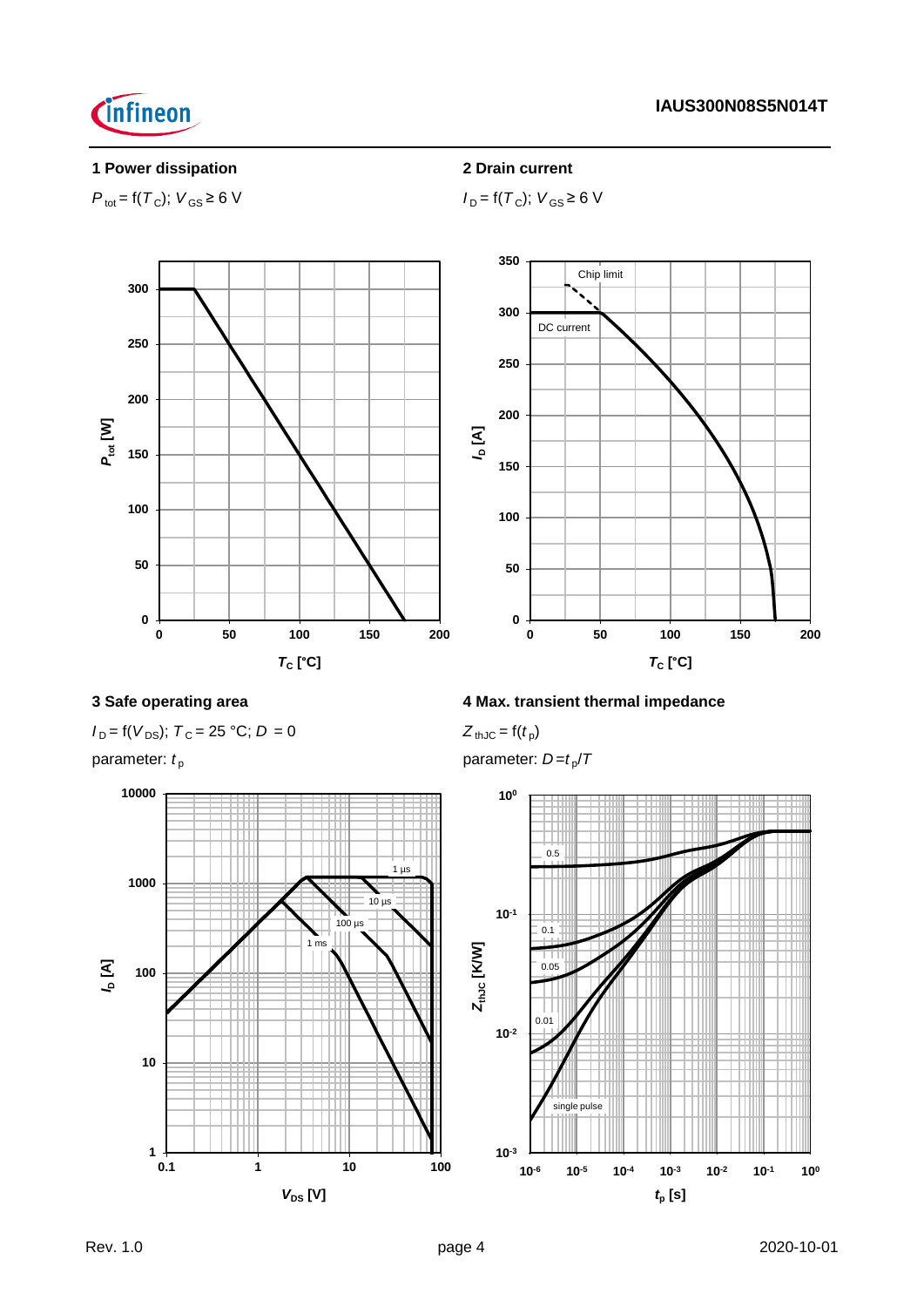

# **1 Power dissipation 2 Drain current**

 $P_{\text{tot}} = f(T_{\text{C}}); V_{\text{GS}} \ge 6 \text{ V}$  *I*<sub>D</sub> =  $f(T_{\text{C}}); V_{\text{GS}} \ge 6 \text{ V}$ 



 $I_D = f(V_{DS})$ ;  $T_C = 25 °C$ ;  $D = 0$ 



# **3 Safe operating area 4 Max. transient thermal impedance**

 $Z_{thJC} = f(t_p)$ 

parameter:  $t_{\rm p}$  **parameter:** *D=t<sub>p</sub>*/*T* 

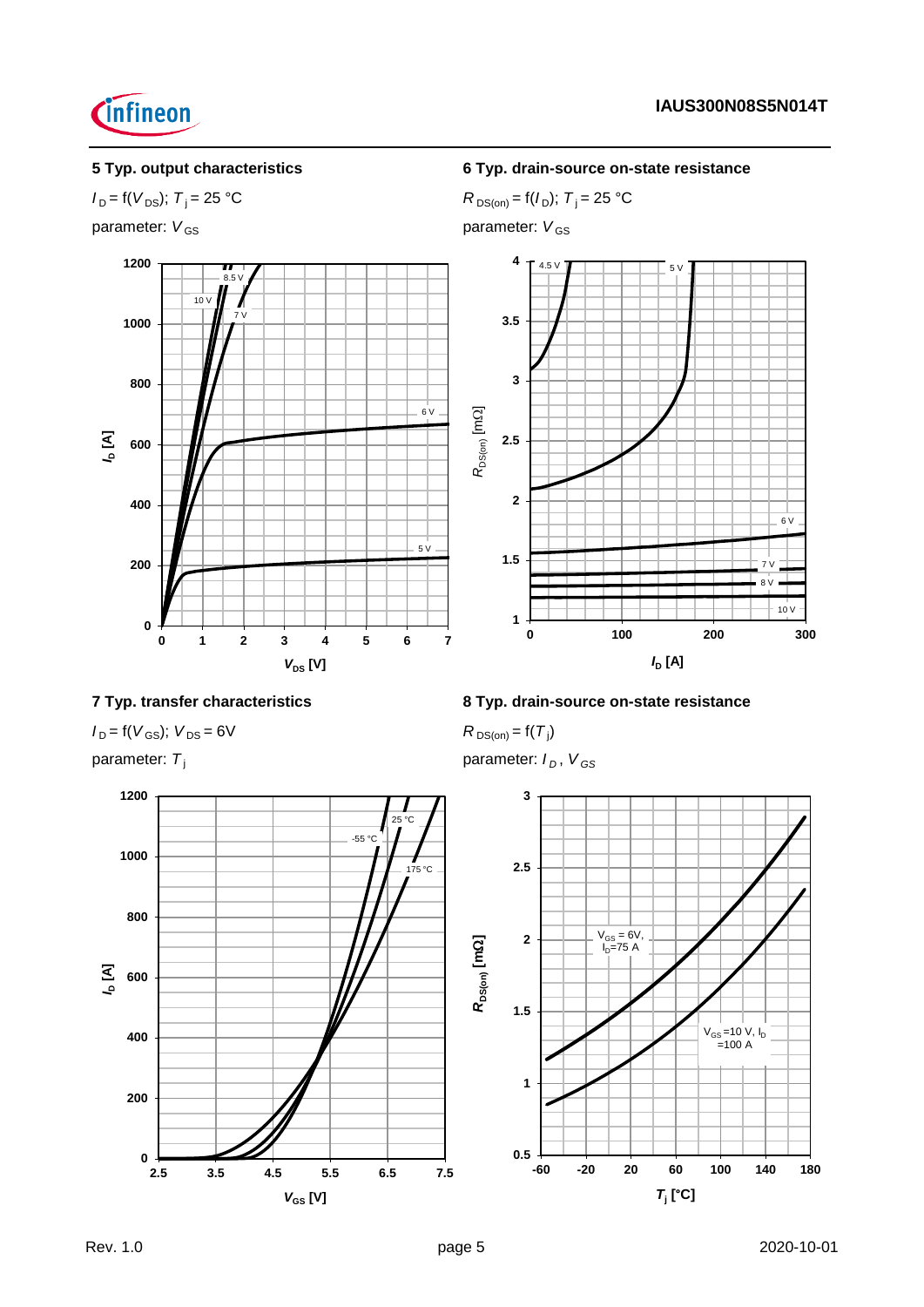



# **5 Typ. output characteristics 6 Typ. drain-source on-state resistance**

*I*<sub>D</sub> = f(*V*<sub>DS</sub>); *T*<sub>j</sub> = 25 °C *R*<sub>DS(on)</sub> = f(*I*<sub>D</sub>); *T*<sub>j</sub> = 25 °C parameter:  $V_{GS}$  parameter:  $V_{GS}$ 



# **7 Typ. transfer characteristics 8 Typ. drain-source on-state resistance**

 $I_D = f(V_{GS})$ ;  $V_{DS} = 6V$ 

 $R_{DS(on)} = f(T_j)$ 

 $V_{GS} = 6V,$  $I_D = 75 A$ 

parameter:  $T_j$  parameter:  $I_D$ ,  $V_{GS}$ 





 $V_{GS} = 10 V, I_D = 100 A$ 

*T***j [°C]**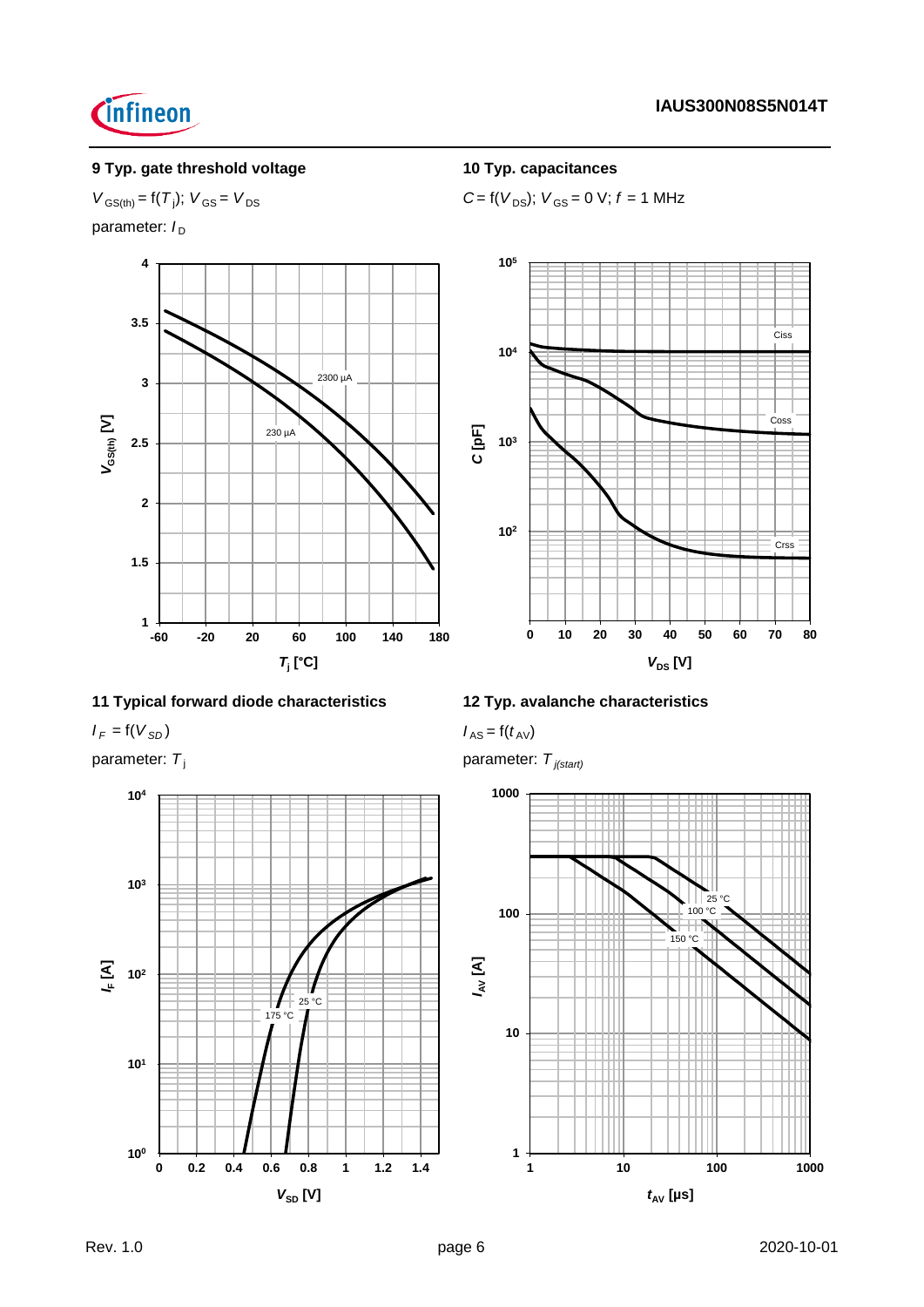

# **9 Typ. gate threshold voltage 10 Typ. capacitances**

# $V_{GS(th)} = f(T_j); V_{GS} = V_{DS}$

parameter:  $I_D$ 



# **11 Typical forward diode characteristics 12 Typ. avalanche characteristics**

 $I_F = f(V_{SD})$  *I* AS =  $f(t_{AV})$ 

parameter:  $T_j$  parameter:  $\frac{1}{2}$  p



 $C = f(V_{DS})$ ;  $V_{GS} = 0$  V;  $f = 1$  MHz



$$
\text{parameter: } T_{j(\text{start})}
$$

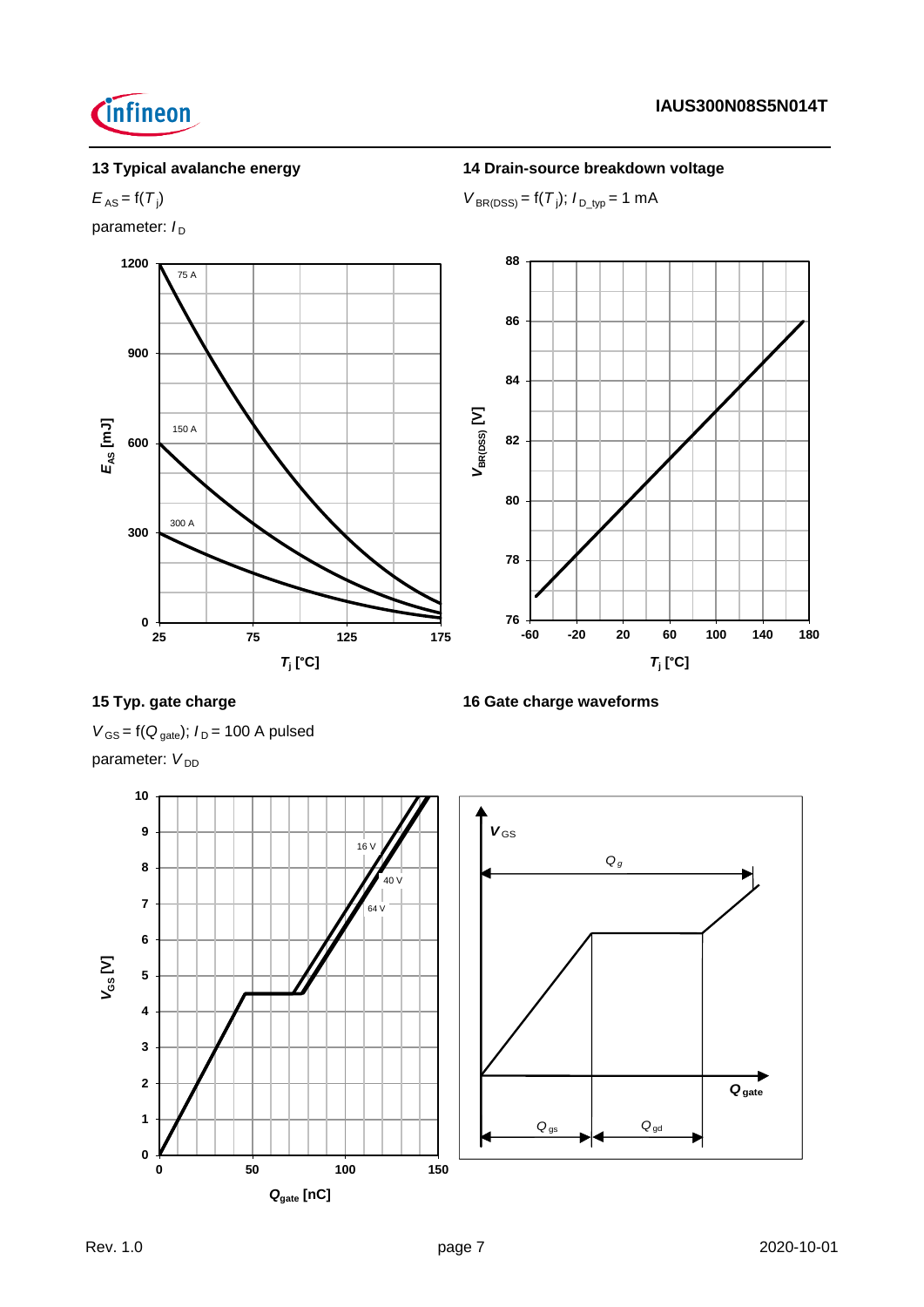# **13 Typical avalanche energy 14 Drain-source breakdown voltage**

### $E_{AS} = f(T_i)$ )  $V_{\text{BR(DSS)}} = f(T_j); I_{\text{D\_typ}} = 1 \text{ mA}$

parameter:  $I_D$ 

*<u>Cinfineon</u>* 



# **15 Typ. gate charge 16 Gate charge waveforms**

 $V_{GS}$  = f( $Q_{gate}$ );  $I_D$  = 100 A pulsed parameter: V<sub>DD</sub>

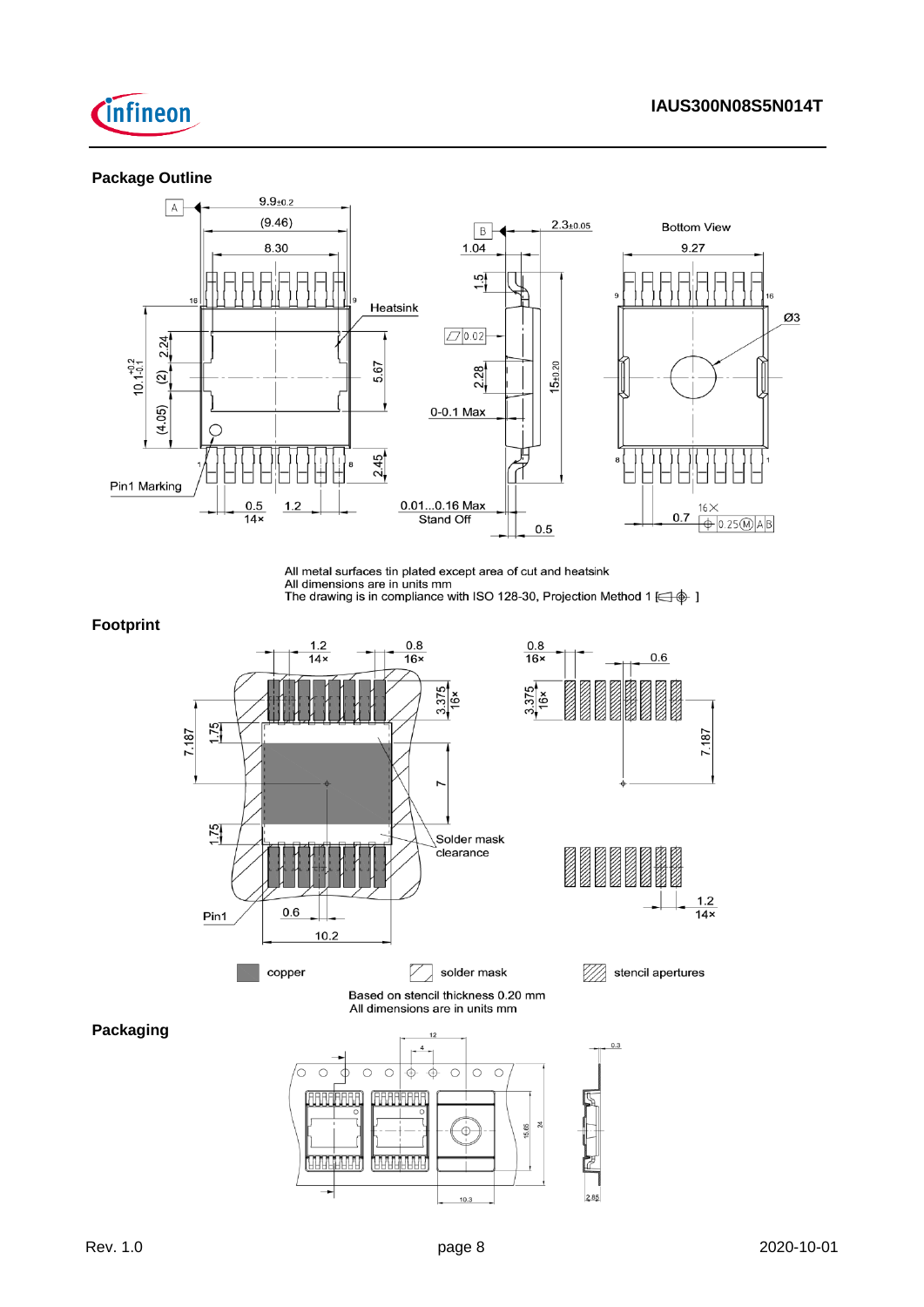

## **Package Outline**



All metal surfaces tin plated except area of cut and heatsink

All dimensions are in units mm<br>The drawing is in compliance with ISO 128-30, Projection Method 1  $\leftarrow$   $\phi$  ]

## **Footprint**

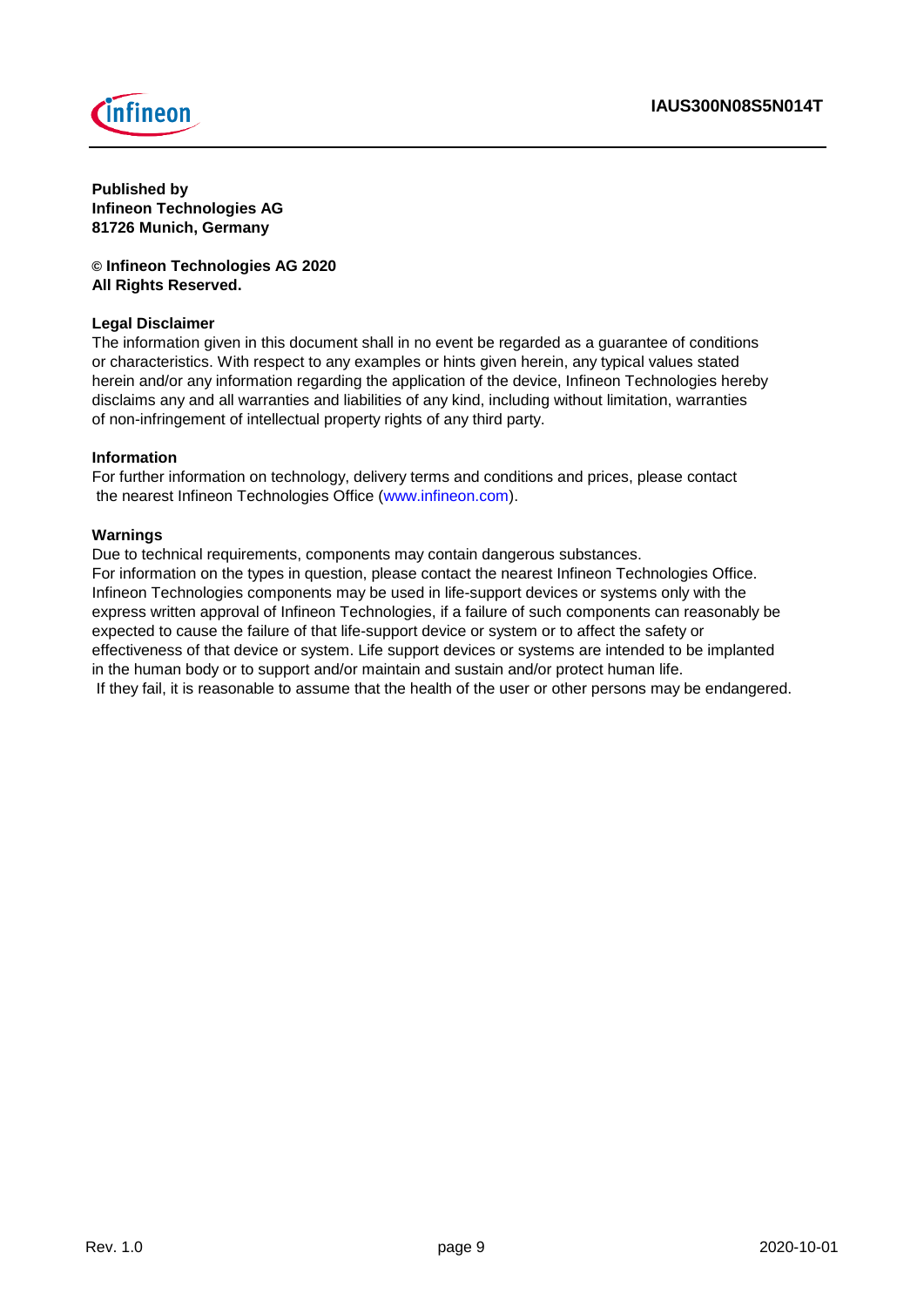



**Published by Infineon Technologies AG 81726 Munich, Germany**

**© Infineon Technologies AG 2020 All Rights Reserved.**

## **Legal Disclaimer**

The information given in this document shall in no event be regarded as a guarantee of conditions or characteristics. With respect to any examples or hints given herein, any typical values stated herein and/or any information regarding the application of the device, Infineon Technologies hereby disclaims any and all warranties and liabilities of any kind, including without limitation, warranties of non-infringement of intellectual property rights of any third party.

### **Information**

For further information on technology, delivery terms and conditions and prices, please contact the nearest Infineon Technologies Office (www.infineon.com).

### **Warnings**

Due to technical requirements, components may contain dangerous substances. For information on the types in question, please contact the nearest Infineon Technologies Office. Infineon Technologies components may be used in life-support devices or systems only with the express written approval of Infineon Technologies, if a failure of such components can reasonably be expected to cause the failure of that life-support device or system or to affect the safety or effectiveness of that device or system. Life support devices or systems are intended to be implanted in the human body or to support and/or maintain and sustain and/or protect human life. If they fail, it is reasonable to assume that the health of the user or other persons may be endangered.